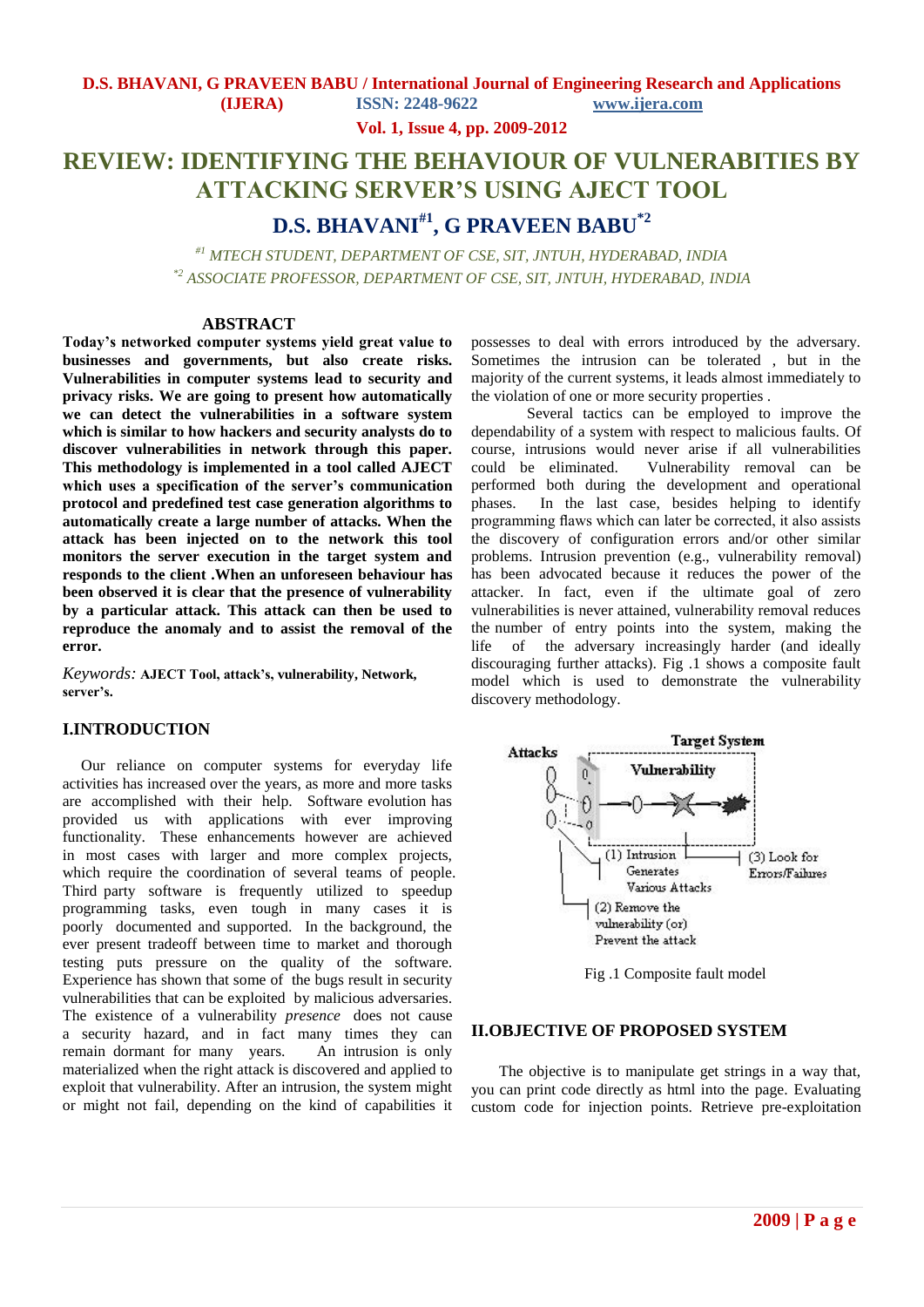**Vol. 1, Issue 4, pp. 2009-2012**

# **REVIEW: IDENTIFYING THE BEHAVIOUR OF VULNERABITIES BY ATTACKING SERVER'S USING AJECT TOOL**

# **D.S. BHAVANI#1, G PRAVEEN BABU\*2**

*#1 MTECH STUDENT, DEPARTMENT OF CSE, SIT, JNTUH, HYDERABAD, INDIA \*2 ASSOCIATE PROFESSOR, DEPARTMENT OF CSE, SIT, JNTUH, HYDERABAD, INDIA*

#### **ABSTRACT**

**Today's networked computer systems yield great value to businesses and governments, but also create risks. Vulnerabilities in computer systems lead to security and privacy risks. We are going to present how automatically we can detect the vulnerabilities in a software system which is similar to how hackers and security analysts do to discover vulnerabilities in network through this paper. This methodology is implemented in a tool called AJECT which uses a specification of the server's communication protocol and predefined test case generation algorithms to automatically create a large number of attacks. When the attack has been injected on to the network this tool monitors the server execution in the target system and responds to the client .When an unforeseen behaviour has been observed it is clear that the presence of vulnerability by a particular attack. This attack can then be used to reproduce the anomaly and to assist the removal of the error.**

*Keywords:* **AJECT Tool, attack's, vulnerability, Network, server's.**

# **I.INTRODUCTION**

Our reliance on computer systems for everyday life activities has increased over the years, as more and more tasks are accomplished with their help. Software evolution has provided us with applications with ever improving functionality. These enhancements however are achieved in most cases with larger and more complex projects, which require the coordination of several teams of people. Third party software is frequently utilized to speedup programming tasks, even tough in many cases it is poorly documented and supported. In the background, the ever present tradeoff between time to market and thorough testing puts pressure on the quality of the software. Experience has shown that some of the bugs result in security vulnerabilities that can be exploited by malicious adversaries. The existence of a vulnerability *presence* does not cause a security hazard, and in fact many times they can remain dormant for many years. An intrusion is only materialized when the right attack is discovered and applied to exploit that vulnerability. After an intrusion, the system might or might not fail, depending on the kind of capabilities it

possesses to deal with errors introduced by the adversary. Sometimes the intrusion can be tolerated , but in the majority of the current systems, it leads almost immediately to the violation of one or more security properties .

Several tactics can be employed to improve the dependability of a system with respect to malicious faults. Of course, intrusions would never arise if all vulnerabilities could be eliminated. Vulnerability removal can be performed both during the development and operational phases. In the last case, besides helping to identify programming flaws which can later be corrected, it also assists the discovery of configuration errors and/or other similar problems. Intrusion prevention (e.g., vulnerability removal) has been advocated because it reduces the power of the attacker. In fact, even if the ultimate goal of zero vulnerabilities is never attained, vulnerability removal reduces the number of entry points into the system, making the life of the adversary increasingly harder (and ideally discouraging further attacks). Fig .1 shows a composite fault model which is used to demonstrate the vulnerability discovery methodology.



Fig .1 Composite fault model

# **II.OBJECTIVE OF PROPOSED SYSTEM**

The objective is to manipulate get strings in a way that, you can print code directly as html into the page. Evaluating custom code for injection points. Retrieve pre-exploitation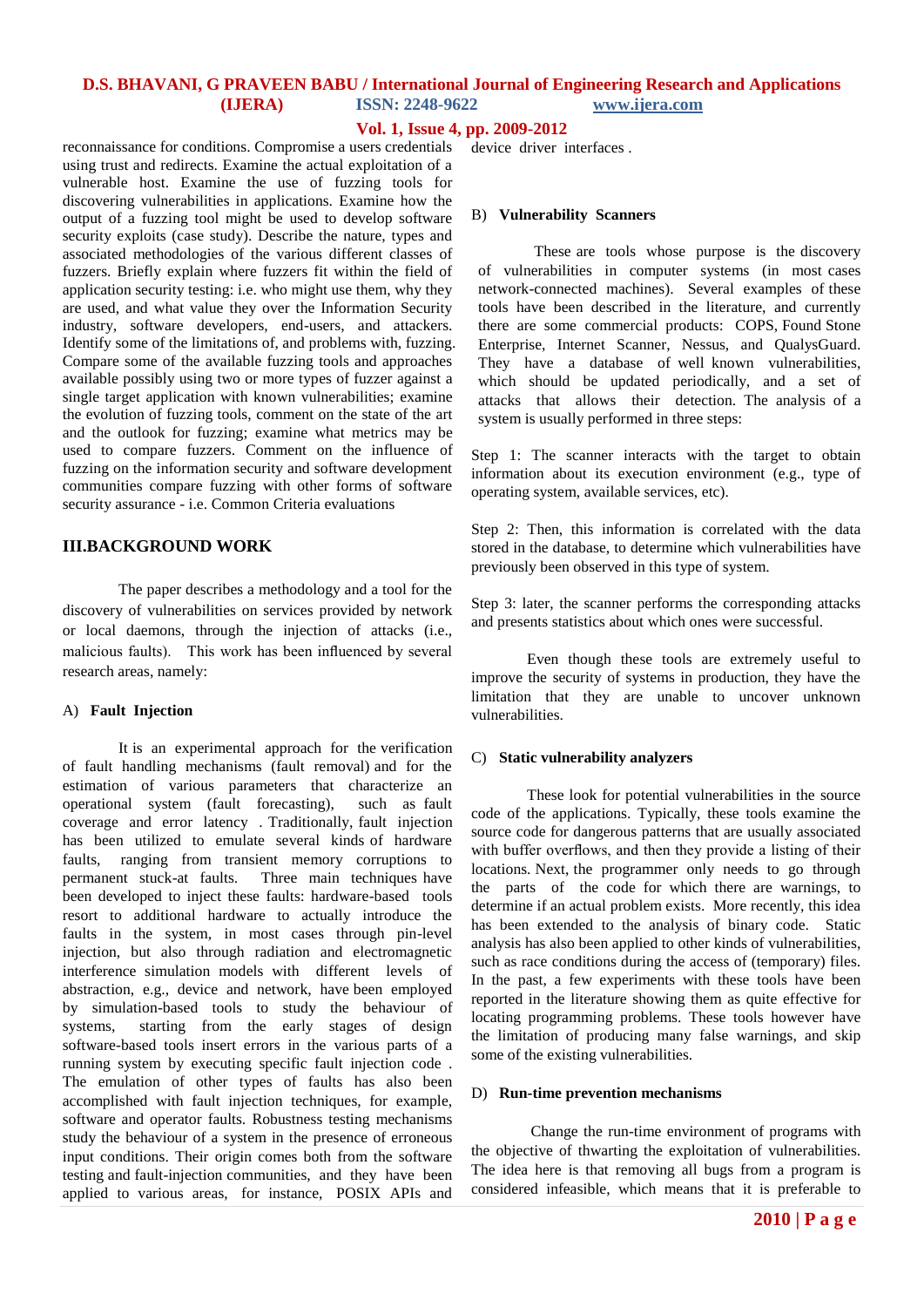# **D.S. BHAVANI, G PRAVEEN BABU / International Journal of Engineering Research and Applications (IJERA) ISSN: 2248-9622 www.ijera.com**

## **Vol. 1, Issue 4, pp. 2009-2012**

reconnaissance for conditions. Compromise a users credentials using trust and redirects. Examine the actual exploitation of a vulnerable host. Examine the use of fuzzing tools for discovering vulnerabilities in applications. Examine how the output of a fuzzing tool might be used to develop software security exploits (case study). Describe the nature, types and associated methodologies of the various different classes of fuzzers. Briefly explain where fuzzers fit within the field of application security testing: i.e. who might use them, why they are used, and what value they over the Information Security industry, software developers, end-users, and attackers. Identify some of the limitations of, and problems with, fuzzing. Compare some of the available fuzzing tools and approaches available possibly using two or more types of fuzzer against a single target application with known vulnerabilities; examine the evolution of fuzzing tools, comment on the state of the art and the outlook for fuzzing; examine what metrics may be used to compare fuzzers. Comment on the influence of fuzzing on the information security and software development communities compare fuzzing with other forms of software security assurance - i.e. Common Criteria evaluations

# **III.BACKGROUND WORK**

The paper describes a methodology and a tool for the discovery of vulnerabilities on services provided by network or local daemons, through the injection of attacks (i.e., malicious faults). This work has been influenced by several research areas, namely:

# A) **Fault Injection**

It is an experimental approach for the verification of fault handling mechanisms (fault removal) and for the estimation of various parameters that characterize an operational system (fault forecasting), such as fault coverage and error latency . Traditionally, fault injection has been utilized to emulate several kinds of hardware faults, ranging from transient memory corruptions to permanent stuck-at faults. Three main techniques have been developed to inject these faults: hardware-based tools resort to additional hardware to actually introduce the faults in the system, in most cases through pin-level injection, but also through radiation and electromagnetic interference simulation models with different levels of abstraction, e.g., device and network, have been employed by simulation-based tools to study the behaviour of systems, starting from the early stages of design software-based tools insert errors in the various parts of a running system by executing specific fault injection code . The emulation of other types of faults has also been accomplished with fault injection techniques, for example, software and operator faults. Robustness testing mechanisms study the behaviour of a system in the presence of erroneous input conditions. Their origin comes both from the software testing and fault-injection communities, and they have been applied to various areas, for instance, POSIX APIs and

device driver interfaces .

#### B) **Vulnerability Scanners**

These are tools whose purpose is the discovery of vulnerabilities in computer systems (in most cases network-connected machines). Several examples of these tools have been described in the literature, and currently there are some commercial products: COPS, Found Stone Enterprise, Internet Scanner, Nessus, and QualysGuard. They have a database of well known vulnerabilities, which should be updated periodically, and a set of attacks that allows their detection. The analysis of a system is usually performed in three steps:

Step 1: The scanner interacts with the target to obtain information about its execution environment (e.g., type of operating system, available services, etc).

Step 2: Then, this information is correlated with the data stored in the database, to determine which vulnerabilities have previously been observed in this type of system.

Step 3: later, the scanner performs the corresponding attacks and presents statistics about which ones were successful.

Even though these tools are extremely useful to improve the security of systems in production, they have the limitation that they are unable to uncover unknown vulnerabilities.

#### C) **Static vulnerability analyzers**

These look for potential vulnerabilities in the source code of the applications. Typically, these tools examine the source code for dangerous patterns that are usually associated with buffer overflows, and then they provide a listing of their locations. Next, the programmer only needs to go through the parts of the code for which there are warnings, to determine if an actual problem exists. More recently, this idea has been extended to the analysis of binary code. Static analysis has also been applied to other kinds of vulnerabilities, such as race conditions during the access of (temporary) files. In the past, a few experiments with these tools have been reported in the literature showing them as quite effective for locating programming problems. These tools however have the limitation of producing many false warnings, and skip some of the existing vulnerabilities.

#### D) **Run-time prevention mechanisms**

Change the run-time environment of programs with the objective of thwarting the exploitation of vulnerabilities. The idea here is that removing all bugs from a program is considered infeasible, which means that it is preferable to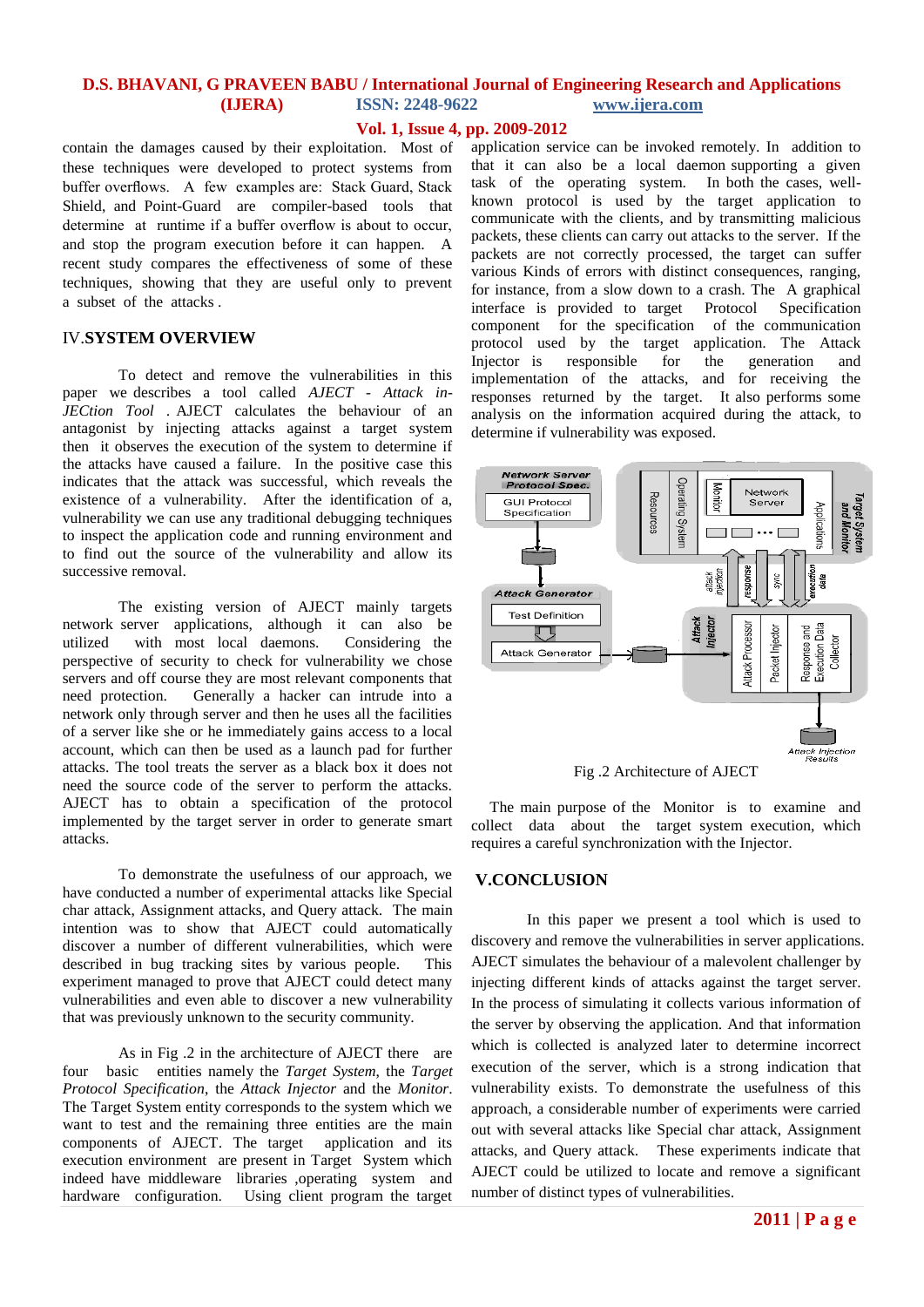# **D.S. BHAVANI, G PRAVEEN BABU / International Journal of Engineering Research and Applications (IJERA) ISSN: 2248-9622 www.ijera.com**

## **Vol. 1, Issue 4, pp. 2009-2012**

contain the damages caused by their exploitation. Most of these techniques were developed to protect systems from buffer overflows. A few examples are: Stack Guard, Stack Shield, and Point-Guard are compiler-based tools that determine at runtime if a buffer overflow is about to occur, and stop the program execution before it can happen. A recent study compares the effectiveness of some of these techniques, showing that they are useful only to prevent a subset of the attacks .

## IV.**SYSTEM OVERVIEW**

To detect and remove the vulnerabilities in this paper we describes a tool called *AJECT* - *Attack in-JECtion Tool* . AJECT calculates the behaviour of an antagonist by injecting attacks against a target system then it observes the execution of the system to determine if the attacks have caused a failure. In the positive case this indicates that the attack was successful, which reveals the existence of a vulnerability. After the identification of a, vulnerability we can use any traditional debugging techniques to inspect the application code and running environment and to find out the source of the vulnerability and allow its successive removal.

The existing version of AJECT mainly targets network server applications, although it can also be utilized with most local daemons. Considering the perspective of security to check for vulnerability we chose servers and off course they are most relevant components that need protection. Generally a hacker can intrude into a network only through server and then he uses all the facilities of a server like she or he immediately gains access to a local account, which can then be used as a launch pad for further attacks. The tool treats the server as a black box it does not need the source code of the server to perform the attacks. AJECT has to obtain a specification of the protocol implemented by the target server in order to generate smart attacks.

To demonstrate the usefulness of our approach, we have conducted a number of experimental attacks like Special char attack, Assignment attacks, and Query attack. The main intention was to show that AJECT could automatically discover a number of different vulnerabilities, which were described in bug tracking sites by various people. This experiment managed to prove that AJECT could detect many vulnerabilities and even able to discover a new vulnerability that was previously unknown to the security community.

As in Fig .2 in the architecture of AJECT there are four basic entities namely the *Target System*, the *Target Protocol Specification*, the *Attack Injector* and the *Monitor*. The Target System entity corresponds to the system which we want to test and the remaining three entities are the main components of AJECT. The target application and its execution environment are present in Target System which indeed have middleware libraries ,operating system and hardware configuration. Using client program the target

application service can be invoked remotely. In addition to that it can also be a local daemon supporting a given task of the operating system. In both the cases, wellknown protocol is used by the target application to communicate with the clients, and by transmitting malicious packets, these clients can carry out attacks to the server. If the packets are not correctly processed, the target can suffer various Kinds of errors with distinct consequences, ranging, for instance, from a slow down to a crash. The A graphical interface is provided to target Protocol Specification component for the specification of the communication protocol used by the target application. The Attack Injector is responsible for the generation and implementation of the attacks, and for receiving the responses returned by the target. It also performs some analysis on the information acquired during the attack, to determine if vulnerability was exposed.



Fig .2 Architecture of AJECT

The main purpose of the Monitor is to examine and collect data about the target system execution, which requires a careful synchronization with the Injector.

#### **V.CONCLUSION**

In this paper we present a tool which is used to discovery and remove the vulnerabilities in server applications. AJECT simulates the behaviour of a malevolent challenger by injecting different kinds of attacks against the target server. In the process of simulating it collects various information of the server by observing the application. And that information which is collected is analyzed later to determine incorrect execution of the server, which is a strong indication that vulnerability exists. To demonstrate the usefulness of this approach, a considerable number of experiments were carried out with several attacks like Special char attack, Assignment attacks, and Query attack. These experiments indicate that AJECT could be utilized to locate and remove a significant number of distinct types of vulnerabilities.